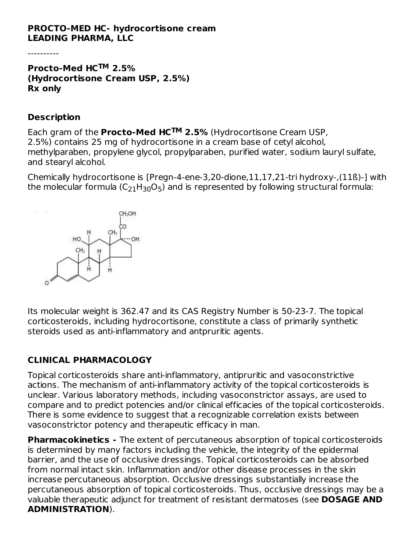### **PROCTO-MED HC- hydrocortisone cream LEADING PHARMA, LLC**

**Procto-Med HC 2.5% TM (Hydrocortisone Cream USP, 2.5%) Rx only**

#### **Description**

Each gram of the **Procto-Med HC 2.5%** (Hydrocortisone Cream USP, **TM** 2.5%) contains 25 mg of hydrocortisone in a cream base of cetyl alcohol, methylparaben, propylene glycol, propylparaben, purified water, sodium lauryl sulfate, and stearyl alcohol.

Chemically hydrocortisone is [Pregn-4-ene-3,20-dione,11,17,21-tri hydroxy-,(11ß)-] with the molecular formula (C $_{21}$ H $_{30}$ O $_{5}$ ) and is represented by following structural formula:



Its molecular weight is 362.47 and its CAS Registry Number is 50-23-7. The topical corticosteroids, including hydrocortisone, constitute a class of primarily synthetic steroids used as anti-inflammatory and antpruritic agents.

### **CLINICAL PHARMACOLOGY**

Topical corticosteroids share anti-inflammatory, antipruritic and vasoconstrictive actions. The mechanism of anti-inflammatory activity of the topical corticosteroids is unclear. Various laboratory methods, including vasoconstrictor assays, are used to compare and to predict potencies and/or clinical efficacies of the topical corticosteroids. There is some evidence to suggest that a recognizable correlation exists between vasoconstrictor potency and therapeutic efficacy in man.

**Pharmacokinetics -** The extent of percutaneous absorption of topical corticosteroids is determined by many factors including the vehicle, the integrity of the epidermal barrier, and the use of occlusive dressings. Topical corticosteroids can be absorbed from normal intact skin. Inflammation and/or other disease processes in the skin increase percutaneous absorption. Occlusive dressings substantially increase the percutaneous absorption of topical corticosteroids. Thus, occlusive dressings may be a valuable therapeutic adjunct for treatment of resistant dermatoses (see **DOSAGE AND ADMINISTRATION**).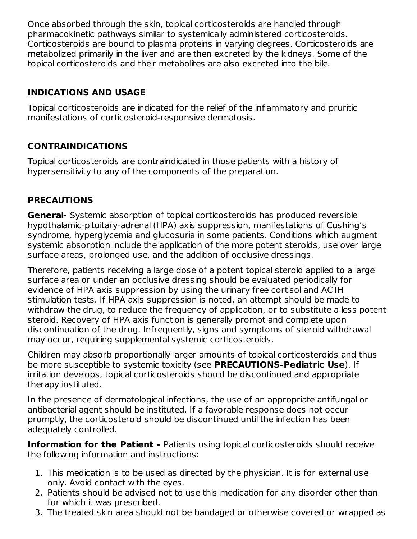Once absorbed through the skin, topical corticosteroids are handled through pharmacokinetic pathways similar to systemically administered corticosteroids. Corticosteroids are bound to plasma proteins in varying degrees. Corticosteroids are metabolized primarily in the liver and are then excreted by the kidneys. Some of the topical corticosteroids and their metabolites are also excreted into the bile.

# **INDICATIONS AND USAGE**

Topical corticosteroids are indicated for the relief of the inflammatory and pruritic manifestations of corticosteroid-responsive dermatosis.

# **CONTRAINDICATIONS**

Topical corticosteroids are contraindicated in those patients with a history of hypersensitivity to any of the components of the preparation.

# **PRECAUTIONS**

**General-** Systemic absorption of topical corticosteroids has produced reversible hypothalamic-pituitary-adrenal (HPA) axis suppression, manifestations of Cushing's syndrome, hyperglycemia and glucosuria in some patients. Conditions which augment systemic absorption include the application of the more potent steroids, use over large surface areas, prolonged use, and the addition of occlusive dressings.

Therefore, patients receiving a large dose of a potent topical steroid applied to a large surface area or under an occlusive dressing should be evaluated periodically for evidence of HPA axis suppression by using the urinary free cortisol and ACTH stimulation tests. If HPA axis suppression is noted, an attempt should be made to withdraw the drug, to reduce the frequency of application, or to substitute a less potent steroid. Recovery of HPA axis function is generally prompt and complete upon discontinuation of the drug. Infrequently, signs and symptoms of steroid withdrawal may occur, requiring supplemental systemic corticosteroids.

Children may absorb proportionally larger amounts of topical corticosteroids and thus be more susceptible to systemic toxicity (see **PRECAUTIONS–Pediatric Use**). If irritation develops, topical corticosteroids should be discontinued and appropriate therapy instituted.

In the presence of dermatological infections, the use of an appropriate antifungal or antibacterial agent should be instituted. If a favorable response does not occur promptly, the corticosteroid should be discontinued until the infection has been adequately controlled.

**Information for the Patient -** Patients using topical corticosteroids should receive the following information and instructions:

- 1. This medication is to be used as directed by the physician. It is for external use only. Avoid contact with the eyes.
- 2. Patients should be advised not to use this medication for any disorder other than for which it was prescribed.
- 3. The treated skin area should not be bandaged or otherwise covered or wrapped as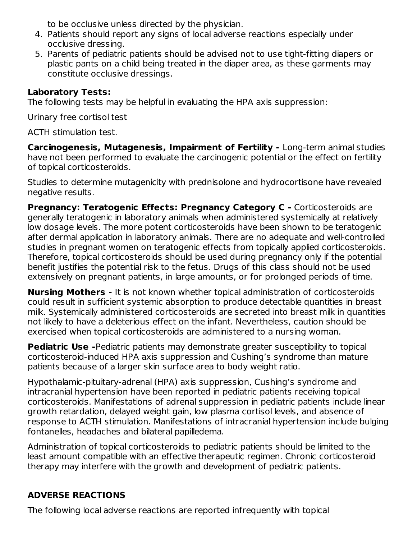to be occlusive unless directed by the physician.

- 4. Patients should report any signs of local adverse reactions especially under occlusive dressing.
- 5. Parents of pediatric patients should be advised not to use tight-fitting diapers or plastic pants on a child being treated in the diaper area, as these garments may constitute occlusive dressings.

## **Laboratory Tests:**

The following tests may be helpful in evaluating the HPA axis suppression:

Urinary free cortisol test

ACTH stimulation test.

**Carcinogenesis, Mutagenesis, Impairment of Fertility -** Long-term animal studies have not been performed to evaluate the carcinogenic potential or the effect on fertility of topical corticosteroids.

Studies to determine mutagenicity with prednisolone and hydrocortisone have revealed negative results.

**Pregnancy: Teratogenic Effects: Pregnancy Category C - Corticosteroids are** generally teratogenic in laboratory animals when administered systemically at relatively low dosage levels. The more potent corticosteroids have been shown to be teratogenic after dermal application in laboratory animals. There are no adequate and well-controlled studies in pregnant women on teratogenic effects from topically applied corticosteroids. Therefore, topical corticosteroids should be used during pregnancy only if the potential benefit justifies the potential risk to the fetus. Drugs of this class should not be used extensively on pregnant patients, in large amounts, or for prolonged periods of time.

**Nursing Mothers -** It is not known whether topical administration of corticosteroids could result in sufficient systemic absorption to produce detectable quantities in breast milk. Systemically administered corticosteroids are secreted into breast milk in quantities not likely to have a deleterious effect on the infant. Nevertheless, caution should be exercised when topical corticosteroids are administered to a nursing woman.

**Pediatric Use -**Pediatric patients may demonstrate greater susceptibility to topical corticosteroid-induced HPA axis suppression and Cushing's syndrome than mature patients because of a larger skin surface area to body weight ratio.

Hypothalamic-pituitary-adrenal (HPA) axis suppression, Cushing's syndrome and intracranial hypertension have been reported in pediatric patients receiving topical corticosteroids. Manifestations of adrenal suppression in pediatric patients include linear growth retardation, delayed weight gain, low plasma cortisol levels, and absence of response to ACTH stimulation. Manifestations of intracranial hypertension include bulging fontanelles, headaches and bilateral papilledema.

Administration of topical corticosteroids to pediatric patients should be limited to the least amount compatible with an effective therapeutic regimen. Chronic corticosteroid therapy may interfere with the growth and development of pediatric patients.

# **ADVERSE REACTIONS**

The following local adverse reactions are reported infrequently with topical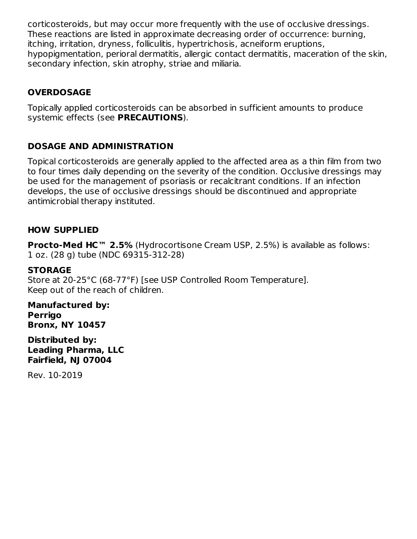corticosteroids, but may occur more frequently with the use of occlusive dressings. These reactions are listed in approximate decreasing order of occurrence: burning, itching, irritation, dryness, folliculitis, hypertrichosis, acneiform eruptions, hypopigmentation, perioral dermatitis, allergic contact dermatitis, maceration of the skin, secondary infection, skin atrophy, striae and miliaria.

## **OVERDOSAGE**

Topically applied corticosteroids can be absorbed in sufficient amounts to produce systemic effects (see **PRECAUTIONS**).

### **DOSAGE AND ADMINISTRATION**

Topical corticosteroids are generally applied to the affected area as a thin film from two to four times daily depending on the severity of the condition. Occlusive dressings may be used for the management of psoriasis or recalcitrant conditions. If an infection develops, the use of occlusive dressings should be discontinued and appropriate antimicrobial therapy instituted.

### **HOW SUPPLIED**

**Procto-Med HC™ 2.5%** (Hydrocortisone Cream USP, 2.5%) is available as follows: 1 oz. (28 g) tube (NDC 69315-312-28)

### **STORAGE**

Store at 20-25°C (68-77°F) [see USP Controlled Room Temperature]. Keep out of the reach of children.

**Manufactured by: Perrigo Bronx, NY 10457**

**Distributed by: Leading Pharma, LLC Fairfield, NJ 07004**

Rev. 10-2019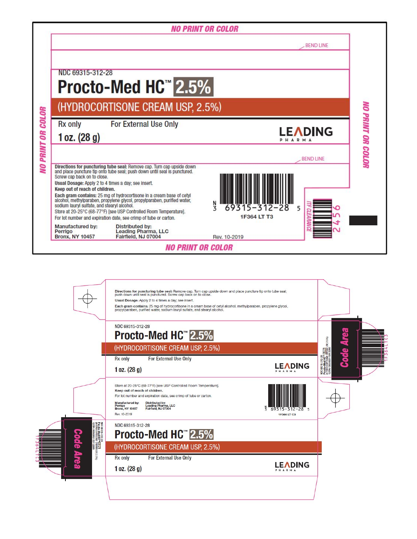|                                                                                                                                                                                         |                                                                                                                                                                                                                                                                                                                                                                                                                                                                           | <b>NO PRINT OR COLOR</b>                               |                   |
|-----------------------------------------------------------------------------------------------------------------------------------------------------------------------------------------|---------------------------------------------------------------------------------------------------------------------------------------------------------------------------------------------------------------------------------------------------------------------------------------------------------------------------------------------------------------------------------------------------------------------------------------------------------------------------|--------------------------------------------------------|-------------------|
|                                                                                                                                                                                         |                                                                                                                                                                                                                                                                                                                                                                                                                                                                           | <b>BEND LINE</b>                                       |                   |
| NDC 69315-312-28                                                                                                                                                                        | Procto-Med HC <sup>™</sup> 2.5%                                                                                                                                                                                                                                                                                                                                                                                                                                           |                                                        |                   |
|                                                                                                                                                                                         | (HYDROCORTISONE CREAM USP, 2.5%)                                                                                                                                                                                                                                                                                                                                                                                                                                          |                                                        |                   |
| <b>Rx</b> only<br>1 oz. (28 g)                                                                                                                                                          | <b>For External Use Only</b>                                                                                                                                                                                                                                                                                                                                                                                                                                              | <b>LEADING</b><br>PHARMA                               | NO PRINT OR COLOR |
|                                                                                                                                                                                         |                                                                                                                                                                                                                                                                                                                                                                                                                                                                           | <b>BEND LINE</b>                                       |                   |
| Screw cap back on to close.<br>Usual Dosage: Apply 2 to 4 times a day; see insert.<br>Keep out of reach of children.<br>sodium lauryl sulfate, and stearyl alcohol.<br>Manufactured by: | Directions for puncturing tube seal: Remove cap. Turn cap upside down<br>and place puncture tip onto tube seal; push down until seal is punctured.<br>Each gram contains: 25 mg of hydrocortisone in a cream base of cetyl<br>alcohol, methylparaben, propylene glycol, propylparaben, purified water,<br>Store at 20-25°C (68-77°F) [see USP Controlled Room Temperature].<br>For lot number and expiration date, see crimp of tube or carton.<br><b>Distributed by:</b> | 315-312-28<br>9<br>5<br>3<br><b>1F364 LT T3</b><br>ន្ត |                   |
| Perrigo<br><b>Bronx, NY 10457</b>                                                                                                                                                       | Leading Pharma, LLC<br>Fairfield, NJ 07004                                                                                                                                                                                                                                                                                                                                                                                                                                | Rev. 10-2019                                           |                   |

|                                                                                       | Directions for puncturing tube seal: Remove cap. Turn cap upside down and place puncture tip onto tube seal;<br>push down until seal is punctured. Screw cap back on to close.<br>Usual Dosage: Apply 2 to 4 times a day; see insert.<br>Each gram contains: 25 mg of hydrocortisone in a cream base of cetyl alcohol, methylparaben, propylene glycol,<br>propylparaben, purified water, sodium lauryl sulfate, and stearyl alcohol. |                                                                                         |
|---------------------------------------------------------------------------------------|---------------------------------------------------------------------------------------------------------------------------------------------------------------------------------------------------------------------------------------------------------------------------------------------------------------------------------------------------------------------------------------------------------------------------------------|-----------------------------------------------------------------------------------------|
|                                                                                       | NDC 69315-312-28<br>Procto-Med HC™ 2.5%                                                                                                                                                                                                                                                                                                                                                                                               | a                                                                                       |
|                                                                                       | (HYDROCORTISONE CREAM USP, 2.5%)                                                                                                                                                                                                                                                                                                                                                                                                      | <b>23.7</b><br>Offering List 2.5%)                                                      |
|                                                                                       | For External Use Only<br><b>Rx</b> only<br><b>LEADING</b><br>1 oz. (28 g)<br><b>PHAPMA</b>                                                                                                                                                                                                                                                                                                                                            | <b>Code</b><br>MDC 89315-312-28<br>Procto-Med HC"<br>HYDROORTISONE C<br>GTIN 0006881553 |
|                                                                                       | Store at 20-25°C (68-77°F) [see USP Controlled Room Temperature].<br>Keep out of reach of children.<br>For lot number and expiration date, see crimp of tube or carton.<br>Manufactured by:<br>Distributed by:<br>Leading Pharma, LLC<br>Fairfield, NJ 07004<br>Perrigo<br><b>Bronx, NY 10457</b><br>Rev. 10-2019<br>1F364 LT C3                                                                                                      |                                                                                         |
| NDC 89315-312-28<br>Prodoc-Medi HC" <mark>12-523</mark><br>GTIN 0008601 531 2285<br>Ő | NDC 69315-312-28<br>Procto-Med HC™ 2.5%                                                                                                                                                                                                                                                                                                                                                                                               |                                                                                         |
| ത                                                                                     | (HYDROCORTISONE CREAM USP, 2.5%)                                                                                                                                                                                                                                                                                                                                                                                                      |                                                                                         |
| ä.                                                                                    | For External Use Only<br><b>Rx</b> only<br><b>LEADING</b><br>1 oz. (28 g)<br><b>PHARMA</b>                                                                                                                                                                                                                                                                                                                                            |                                                                                         |
|                                                                                       |                                                                                                                                                                                                                                                                                                                                                                                                                                       |                                                                                         |